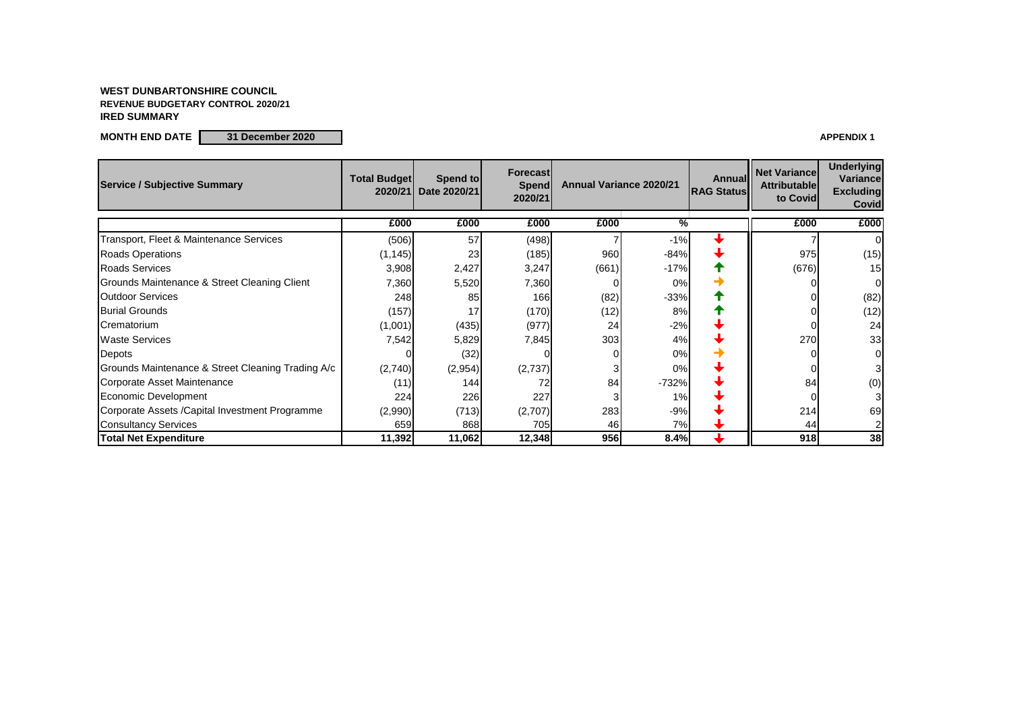#### **WEST DUNBARTONSHIRE COUNCIL REVENUE BUDGETARY CONTROL 2020/21 IRED SUMMARY**

**MONTH END DATE 31 December 2020 APPENDIX 1**

| <b>Service / Subjective Summary</b>               | <b>Total Budget</b><br>2020/21 | Spend to<br>Date 2020/21 | <b>Forecast</b><br>Spend<br>2020/21 | <b>Annual Variance 2020/21</b> |               |  |       | <b>Annual</b><br><b>RAG Status</b> | <b>Net Variance</b><br><b>Attributable</b><br>to Covid | <b>Underlying</b><br><b>Variance</b><br><b>Excluding</b><br><b>Covid</b> |
|---------------------------------------------------|--------------------------------|--------------------------|-------------------------------------|--------------------------------|---------------|--|-------|------------------------------------|--------------------------------------------------------|--------------------------------------------------------------------------|
|                                                   | £000                           | £000                     | £000                                | £000                           | $\frac{0}{6}$ |  | £000  | £000                               |                                                        |                                                                          |
| Transport, Fleet & Maintenance Services           | (506)                          | 57                       | (498)                               |                                | $-1%$         |  |       | $\overline{0}$                     |                                                        |                                                                          |
| <b>Roads Operations</b>                           | (1, 145)                       | 23                       | (185)                               | 960                            | $-84%$        |  | 975   | (15)                               |                                                        |                                                                          |
| <b>Roads Services</b>                             | 3,908                          | 2,427                    | 3,247                               | (661)                          | $-17%$        |  | (676) | 15                                 |                                                        |                                                                          |
| Grounds Maintenance & Street Cleaning Client      | 7,360                          | 5,520                    | 7,360                               |                                | 0%            |  |       | $\overline{0}$                     |                                                        |                                                                          |
| <b>Outdoor Services</b>                           | 248                            | 85                       | 166                                 | (82)                           | $-33%$        |  |       | (82)                               |                                                        |                                                                          |
| <b>Burial Grounds</b>                             | (157)                          | 17                       | (170)                               | (12)                           | 8%            |  |       | (12)                               |                                                        |                                                                          |
| Crematorium                                       | (1,001)                        | (435)                    | (977)                               | 24                             | $-2%$         |  |       | 24                                 |                                                        |                                                                          |
| <b>Waste Services</b>                             | 7,542                          | 5,829                    | 7,845                               | 303                            | 4%            |  | 270   | 33                                 |                                                        |                                                                          |
| Depots                                            |                                | (32)                     |                                     |                                | 0%            |  |       | $\overline{0}$                     |                                                        |                                                                          |
| Grounds Maintenance & Street Cleaning Trading A/c | (2,740)                        | (2,954)                  | (2,737)                             |                                | 0%            |  |       | 3                                  |                                                        |                                                                          |
| Corporate Asset Maintenance                       | (11)                           | 144                      |                                     | 84                             | $-732%$       |  | 84    | (0)                                |                                                        |                                                                          |
| Economic Development                              | 224                            | 226                      | 227                                 |                                | 1%            |  |       | 31                                 |                                                        |                                                                          |
| Corporate Assets / Capital Investment Programme   | (2,990)                        | (713)                    | (2,707)                             | 283                            | $-9%$         |  | 214   | 69                                 |                                                        |                                                                          |
| <b>Consultancy Services</b>                       | 659                            | 868                      | 705                                 | 46                             | 7%            |  | 44    | $\mathsf{2}\mathsf{l}$             |                                                        |                                                                          |
| <b>Total Net Expenditure</b>                      | 11,392                         | 11,062                   | 12,348                              | 956                            | 8.4%          |  | 918   | 38                                 |                                                        |                                                                          |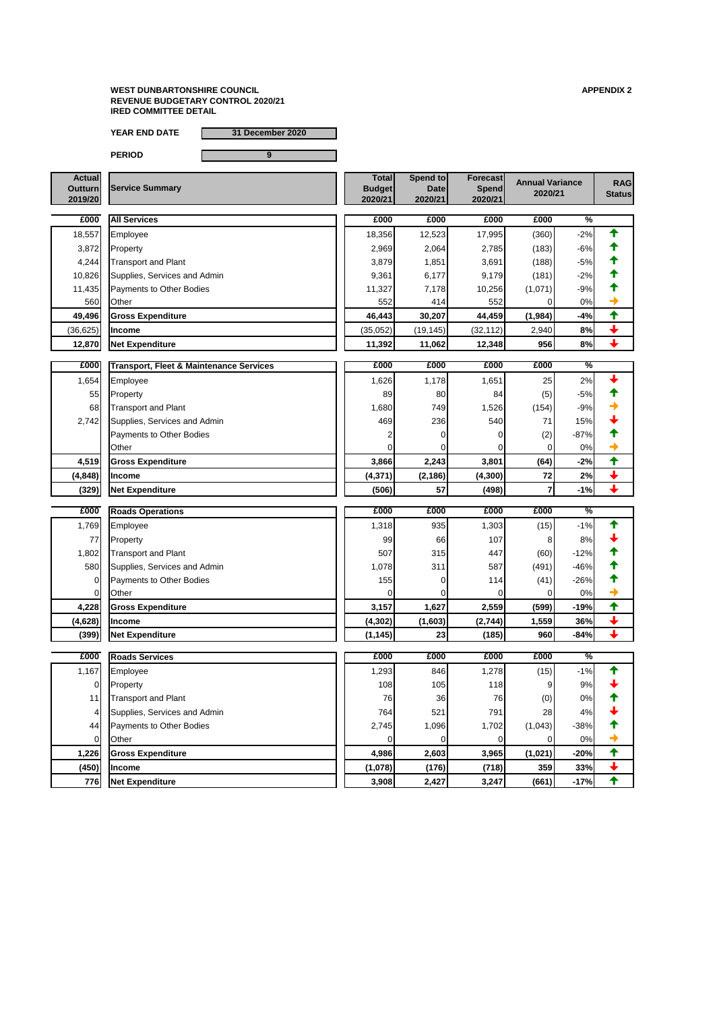**YEAR END DATE 31 December 2020**

| <b>Actual</b><br><b>Outturn</b><br>2019/20 | <b>Service Summary</b>          | <b>Total</b><br><b>Budget</b><br>2020/21 | Spend to<br><b>Date</b><br>2020/21 | <b>Forecast</b><br><b>Spend</b><br>2020/21 | <b>Annual Variance</b><br>2020/21 |               | <b>RAG</b><br><b>Status</b> |
|--------------------------------------------|---------------------------------|------------------------------------------|------------------------------------|--------------------------------------------|-----------------------------------|---------------|-----------------------------|
| £000                                       | <b>All Services</b>             | £000                                     | £000                               | £000                                       | £000                              | $\frac{1}{2}$ |                             |
| 18,557                                     | Employee                        | 18,356                                   | 12,523                             | 17,995                                     | (360)                             | $-2%$         |                             |
| 3,872                                      | Property                        | 2,969                                    | 2,064                              | 2,785                                      | (183)                             | $-6%$         |                             |
| 4,244                                      | <b>Transport and Plant</b>      | 3,879                                    | 1,851                              | 3,691                                      | (188)                             | $-5%$         |                             |
| 10,826                                     | Supplies, Services and Admin    | 9,361                                    | 6,177                              | 9,179                                      | (181)                             | $-2%$         |                             |
| 11,435                                     | <b>Payments to Other Bodies</b> | 11,327                                   | 7,178                              | 10,256                                     | (1,071)                           | $-9%$         |                             |
| 560                                        | Other                           | 552                                      | 414                                | 552                                        |                                   | 0%            |                             |
| 49,496                                     | <b>Gross Expenditure</b>        | 46,443                                   | 30,207                             | 44,459                                     | (1,984)                           | $-4%$         |                             |
| (36, 625)                                  | <b>Income</b>                   | (35,052)                                 | (19, 145)                          | (32, 112)                                  | 2,940                             | 8%            |                             |
| 12,870                                     | <b>Net Expenditure</b>          | 11,392                                   | 11,062                             | 12,348                                     | 956                               | 8%            |                             |
|                                            |                                 |                                          |                                    |                                            |                                   |               |                             |

| £000     | <b>Transport, Fleet &amp; Maintenance Services</b> | £000     | £000       | £000    | £000  | $\frac{1}{2}$ |  |
|----------|----------------------------------------------------|----------|------------|---------|-------|---------------|--|
| 1,654    | Employee                                           | 1,626    | 1,178      | 1,651   | 25    | 2%            |  |
| 55       | Property                                           | 89       | 80         | 84      | (5)   | $-5%$         |  |
| 68       | <b>Transport and Plant</b>                         | 1,680    | <b>749</b> | 1,526   | (154) | $-9%$         |  |
| 2,742    | Supplies, Services and Admin                       | 469      | 236        | 540     | 71    | 15%           |  |
|          | Payments to Other Bodies                           |          |            |         | (2)   | $-87%$        |  |
|          | <b>Other</b>                                       |          |            |         |       | $0\%$         |  |
| 4,519    | <b>Gross Expenditure</b>                           | 3,866    | 2,243      | 3,801   | (64)  | $-2%$         |  |
| (4, 848) | <b>Income</b>                                      | (4, 371) | (2, 186)   | (4,300) | 72    | 2%            |  |
| (329)    | <b>Net Expenditure</b>                             | (506)    | 57         | (498)   |       | $-1%$         |  |

| £000           | <b>Roads Operations</b>      | £000     | £000    | £000    | £000    | %             |                 |
|----------------|------------------------------|----------|---------|---------|---------|---------------|-----------------|
| 1,769          | Employee                     | 1,318    | 935     | 1,303   | (15)    | $-1%$         |                 |
| 77             | Property                     | 99       | 66      | 107     | 8       | 8%            |                 |
| 1,802          | <b>Transport and Plant</b>   | 507      | 315     | 447     | (60)    | $-12%$        |                 |
| 580            | Supplies, Services and Admin | 1,078    | 311     | 587     | (491)   | $-46%$        |                 |
| $\overline{0}$ | Payments to Other Bodies     | 155      |         | 114     | (41)    | $-26%$        |                 |
| $\overline{0}$ | Other                        |          |         |         | 0       | 0%            | →               |
| 4,228          | <b>Gross Expenditure</b>     | 3,157    | 1,627   | 2,559   | (599)   | $-19%$        | $\blacklozenge$ |
| (4,628)        | <b>Income</b>                | (4, 302) | (1,603) | (2,744) | 1,559   | 36%           | $\bigstar$      |
| (399)          | <b>Net Expenditure</b>       | (1, 145) | 23      | (185)   | 960     | $-84%$        | $\biguparrow$   |
|                |                              |          |         |         |         |               |                 |
|                |                              |          |         |         |         |               |                 |
| £000           | <b>Roads Services</b>        | £000     | £000    | £000    | £000    | $\frac{0}{6}$ |                 |
| 1,167          | Employee                     | 1,293    | 846     | 1,278   | (15)    | $-1%$         |                 |
| $\overline{0}$ | Property                     | 108      | 105     | 118     |         | 9%            |                 |
| 11             | <b>Transport and Plant</b>   | 76       | 36      | 76      | (0)     | 0%            |                 |
| 4              | Supplies, Services and Admin | 764      | 521     | 791     | 28      | 4%            |                 |
| 44             | Payments to Other Bodies     | 2,745    | 1,096   | 1,702   | (1,043) | $-38%$        |                 |
| 0              | Other                        |          |         |         | 0       | 0%            |                 |
| 1,226          | <b>Gross Expenditure</b>     | 4,986    | 2,603   | 3,965   | (1,021) | $-20%$        | 个               |
| (450)          | <b>Income</b>                | (1,078)  | (176)   | (718)   | 359     | 33%           | $\downarrow$    |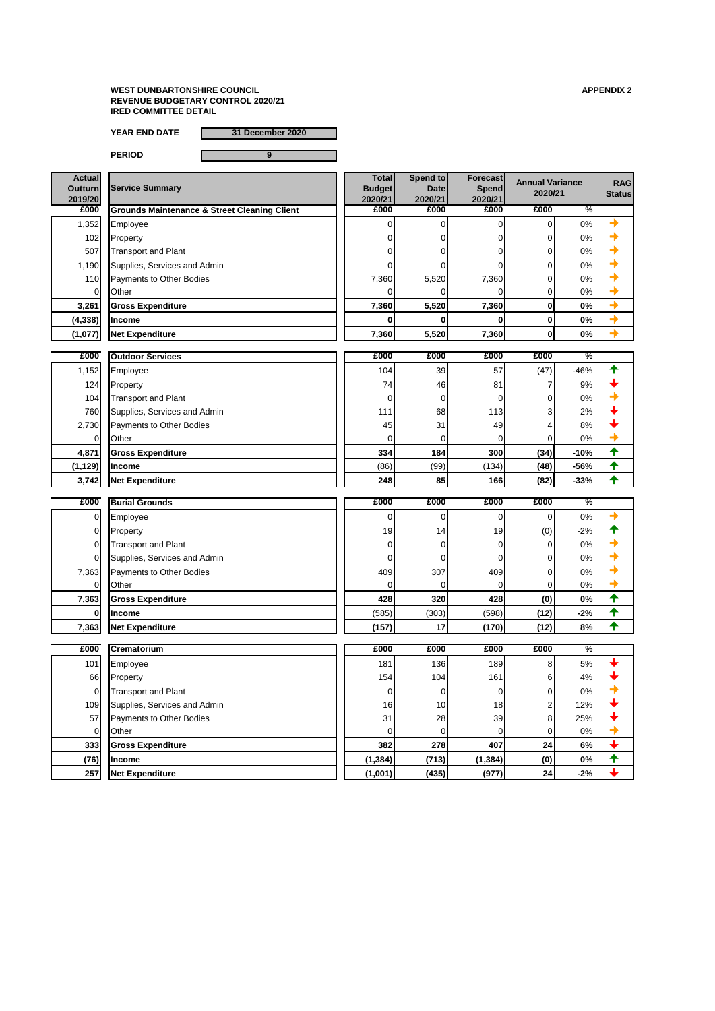**YEAR END DATE 31 December 2020**

| <b>Actual</b><br><b>Outturn</b><br>2019/20 | <b>Service Summary</b>                                  | <b>Total</b><br><b>Budget</b><br>2020/21 | Spend to<br><b>Date</b><br>2020/21 | <b>Forecast</b><br>Spend<br>2020/21 | <b>Annual Variance</b><br>2020/21 |               | <b>RAG</b><br><b>Status</b> |
|--------------------------------------------|---------------------------------------------------------|------------------------------------------|------------------------------------|-------------------------------------|-----------------------------------|---------------|-----------------------------|
| £000                                       | <b>Grounds Maintenance &amp; Street Cleaning Client</b> | £000                                     | £000                               | £000                                | £000                              | $\frac{0}{2}$ |                             |
| 1,352                                      | Employee                                                |                                          |                                    |                                     | 0                                 | 0%            | ╋                           |
| 102                                        | Property                                                |                                          |                                    |                                     | 0                                 | 0%            |                             |
| 507                                        | <b>Transport and Plant</b>                              |                                          |                                    |                                     | 0                                 | 0%            |                             |
| 1,190                                      | Supplies, Services and Admin                            |                                          |                                    |                                     | 0                                 | 0%            |                             |
| 110                                        | Payments to Other Bodies                                | 7,360                                    | 5,520                              | 7,360                               | 0                                 | 0%            |                             |
| 0                                          | Other                                                   |                                          |                                    |                                     | $\overline{0}$                    | 0%            |                             |
| 3,261                                      | <b>Gross Expenditure</b>                                | 7,360                                    | 5,520                              | 7,360                               | $\boldsymbol{0}$                  | 0%            | $\rightarrow$               |
| (4, 338)                                   | <b>Income</b>                                           |                                          |                                    | 0                                   | 0                                 | 0%            | $\rightarrow$               |
| (1,077)                                    | <b>Net Expenditure</b>                                  | 7,360                                    | 5,520                              | 7,360                               | $\boldsymbol{0}$                  | 0%            | $\rightarrow$               |
|                                            |                                                         |                                          |                                    |                                     |                                   |               |                             |
| £000                                       | <b>Outdoor Services</b>                                 | £000                                     | £000                               | £000                                | £000                              | $\frac{9}{6}$ |                             |
| 1,152                                      | Employee                                                | 104                                      | 39                                 | 57                                  | (47)                              | $-46%$        |                             |
| 124                                        | Property                                                | 74                                       | 46                                 | 81                                  | 7                                 | 9%            |                             |
| 104                                        | <b>Transport and Plant</b>                              |                                          | $\overline{0}$                     |                                     | 0                                 | 0%            |                             |
| 760                                        | Supplies, Services and Admin                            | 111                                      | 68                                 | 113                                 | 3                                 | 2%            |                             |
| 2,730                                      | <b>Payments to Other Bodies</b>                         | 45                                       | 31                                 | 49                                  | 4                                 | 8%            |                             |
| 0                                          | <b>Other</b>                                            |                                          | 0                                  |                                     | 0                                 | 0%            |                             |
| 4,871                                      | <b>Gross Expenditure</b>                                | 334                                      | 184                                | 300                                 | (34)                              | $-10%$        | 个                           |
| (1, 129)                                   | Income                                                  | (86)                                     | (99)                               | (134)                               | (48)                              | $-56%$        | ✦                           |
| 3,742                                      | <b>Net Expenditure</b>                                  | 248                                      | 85                                 | 166                                 | (82)                              | $-33%$        | ₳                           |
| £000                                       | <b>Burial Grounds</b>                                   | £000                                     | £000                               | £000                                | £000                              | $\frac{0}{6}$ |                             |
|                                            |                                                         |                                          |                                    |                                     |                                   |               |                             |
| $\overline{0}$                             | Employee                                                | 0                                        | 0                                  | $\overline{0}$                      | 0                                 | 0%            |                             |
| 0                                          | Property                                                | 19                                       | 14                                 | 19                                  | (0)                               | $-2%$         |                             |
|                                            | <b>Transport and Plant</b>                              |                                          |                                    |                                     | 0                                 | 0%            |                             |
| 0                                          | Supplies, Services and Admin                            |                                          |                                    |                                     | 0                                 | 0%            |                             |
| 7,363                                      | Payments to Other Bodies                                | 409                                      | 307                                | 409                                 | 0                                 | 0%            |                             |
| 0                                          | Other                                                   | 0                                        | 0                                  | 0                                   | 0                                 | 0%            |                             |
| 7,363                                      | <b>Gross Expenditure</b>                                | 428                                      | 320                                | 428                                 | (0)                               | 0%            | ✦                           |
| 0                                          | Income                                                  | (585)                                    | (303)                              | (598)                               | (12)                              | $-2%$         | ₳                           |
| 7,363                                      | <b>Net Expenditure</b>                                  | (157)                                    | 17                                 | (170)                               | (12)                              | 8%            | ✦                           |

| £000 | Crematorium                  | £000             | £000            | £000     | £000 | $\sqrt{\frac{6}{}}$ |  |
|------|------------------------------|------------------|-----------------|----------|------|---------------------|--|
| 101  | Employee                     | 181              | 136             | 189      | 8    | 5%                  |  |
| 66   | Property                     | 154 <sub>1</sub> | 104             | 161      | 6    | 4%                  |  |
|      | <b>Transport and Plant</b>   |                  |                 |          |      | 0%                  |  |
| 109  | Supplies, Services and Admin | 16               | 10 <sub>l</sub> | 18       | ╭    | 12%                 |  |
| 57   | Payments to Other Bodies     | 31               | 28              | 39       | 8    | 25%                 |  |
|      | Other                        |                  |                 |          |      | 0%                  |  |
| 333  | <b>Gross Expenditure</b>     | 382              | <b>278</b>      | 407      | 24   | 6%                  |  |
| (76) | <b>Income</b>                | (1, 384)         | (713)           | (1, 384) | (0)  | 0%                  |  |
| 257  | <b>Net Expenditure</b>       | (1,001)          | (435)           | (977)    | 24   | $-2%$               |  |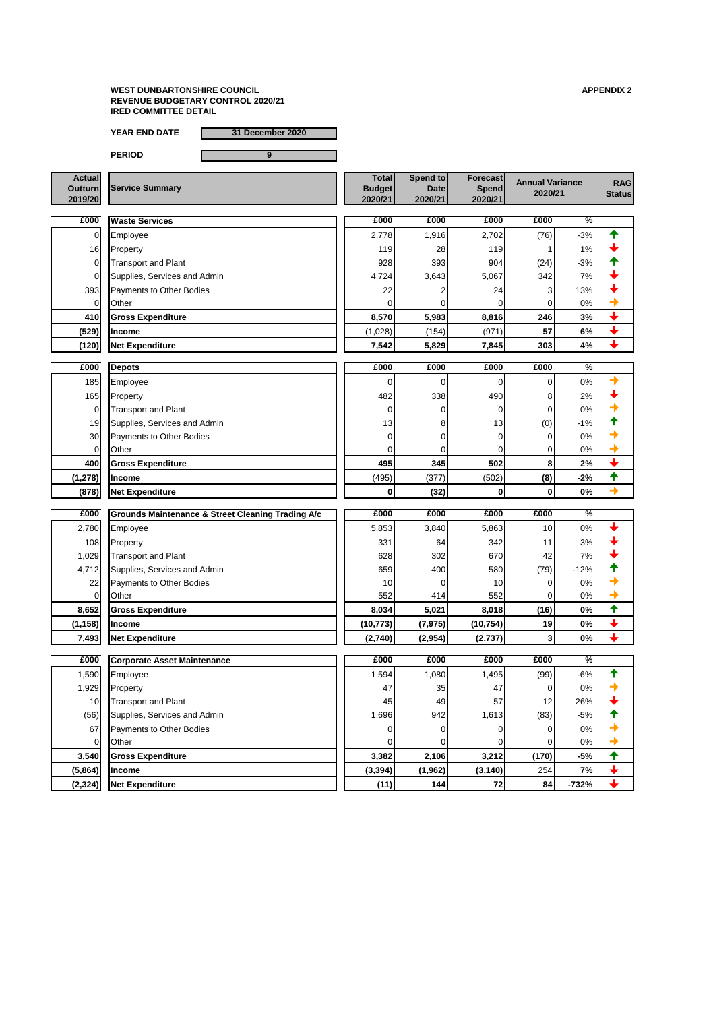**YEAR END DATE 31 December 2020**

| <b>Actual</b>  |                        | <b>Total</b>  | Spend to    | <b>Forecast</b> | <b>Annual Variance</b> | <b>RAG</b>    |
|----------------|------------------------|---------------|-------------|-----------------|------------------------|---------------|
| <b>Outturn</b> | <b>Service Summary</b> | <b>Budget</b> | <b>Date</b> | <b>Spend</b>    | 2020/21                |               |
| 2019/20        |                        | 2020/21       | 2020/21     | 2020/21         |                        | <b>Status</b> |

| £000           | <b>Waste Services</b>        | £000    | £000  | £000  | £000 | $\overline{\%}$ |  |
|----------------|------------------------------|---------|-------|-------|------|-----------------|--|
|                | Employee                     | 2,778   | 1,916 | 2,702 | (76) | $-3%$           |  |
| 16             | Property                     | 119     | 28    | 119   |      | 1%              |  |
|                | <b>Transport and Plant</b>   | 928     | 393   | 904   | (24) | $-3%$           |  |
|                | Supplies, Services and Admin | 4,724   | 3,643 | 5,067 | 342  | 7%              |  |
| 393            | Payments to Other Bodies     | 22      |       | 24    | 3    | 13%             |  |
| $\overline{0}$ | <b>Other</b>                 |         |       |       |      | 0%              |  |
| 410            | <b>Gross Expenditure</b>     | 8,570   | 5,983 | 8,816 | 246  | 3%              |  |
| (529)          | <b>Income</b>                | (1,028) | (154) | (971) | 57   | 6%              |  |
| (120)          | <b>Net Expenditure</b>       | 7,542   | 5,829 | 7,845 | 303  | 4%              |  |

| £000            | <b>Depots</b>                   | £000            | £000  | £000  | £000 | $\frac{9}{6}$ |  |
|-----------------|---------------------------------|-----------------|-------|-------|------|---------------|--|
| 185             | Employee                        |                 |       |       |      | $0\%$         |  |
| 165             | Property                        | 482             | 338   | 490   | 8    | 2%            |  |
| $\overline{0}$  | <b>Transport and Plant</b>      |                 |       |       | 0    | 0%            |  |
| 19              | Supplies, Services and Admin    | 13 <sub>l</sub> | 81    | 13    | (0)  | $-1%$         |  |
| 30 <sup>°</sup> | <b>Payments to Other Bodies</b> |                 |       |       | 01   | 0%            |  |
| $\overline{0}$  | <b>Other</b>                    |                 |       |       | 01   | 0%            |  |
| 400             | <b>Gross Expenditure</b>        | 495             | 345   | 502   | 8    | 2%            |  |
| (1, 278)        | <b>Income</b>                   | (495)           | (377) | (502) | (8)  | $-2%$         |  |
| (878)           | <b>Net Expenditure</b>          |                 | (32)  | OI    | 0    | 0%            |  |

| £000            | <b>Grounds Maintenance &amp; Street Cleaning Trading A/c</b> | £000      | £000     | £000            | £000            | $\frac{0}{6}$ |   |
|-----------------|--------------------------------------------------------------|-----------|----------|-----------------|-----------------|---------------|---|
| 2,780           | Employee                                                     | 5,853     | 3,840    | 5,863           | 10 <sup>1</sup> | 0%            |   |
| 108             | Property                                                     | 331       | 64       | 342             | 11              | 3%            |   |
| 1,029           | <b>Transport and Plant</b>                                   | 628       | 302      | 670             | 42              | 7%            |   |
| 4,712           | Supplies, Services and Admin                                 | 659       | 400      | 580             | (79)            | $-12%$        |   |
| 22              | Payments to Other Bodies                                     | 10        |          | 10 <sup>1</sup> |                 | 0%            |   |
| $\overline{0}$  | Other                                                        | 552       | 414      | 552             | 0               | 0%            |   |
| 8,652           | <b>Gross Expenditure</b>                                     | 8,034     | 5,021    | 8,018           | (16)            | 0%            | ✦ |
| (1, 158)        | <b>Income</b>                                                | (10, 773) | (7, 975) | (10, 754)       | 19              | 0%            |   |
| 7,493           | <b>Net Expenditure</b>                                       | (2,740)   | (2,954)  | (2,737)         | 3               | 0%            |   |
|                 |                                                              |           |          |                 |                 |               |   |
|                 |                                                              |           |          |                 |                 |               |   |
| £000            | <b>Corporate Asset Maintenance</b>                           | £000      | £000     | £000            | £000            | $\frac{9}{6}$ |   |
| 1,590           | Employee                                                     | 1,594     | 1,080    | 1,495           | (99)            | $-6%$         |   |
| 1,929           | Property                                                     | 47        | 35       | 47              |                 | 0%            |   |
| 10 <sup>1</sup> | <b>Transport and Plant</b>                                   | 45        | 49       | 57              | 12              | 26%           |   |
| (56)            | Supplies, Services and Admin                                 | 1,696     | 942      | 1,613           | (83)            | $-5%$         |   |
| 67              | Payments to Other Bodies                                     |           |          |                 | 0               | 0%            |   |
| $\Omega$        | <b>Other</b>                                                 |           |          | ΩI              | 0               | 0%            |   |
| 3,540           | <b>Gross Expenditure</b>                                     | 3,382     | 2,106    | 3,212           | (170)           | $-5%$         | ↟ |
| (5,864)         | <b>Income</b>                                                | (3, 394)  | (1, 962) | (3, 140)        | 254             | 7%            |   |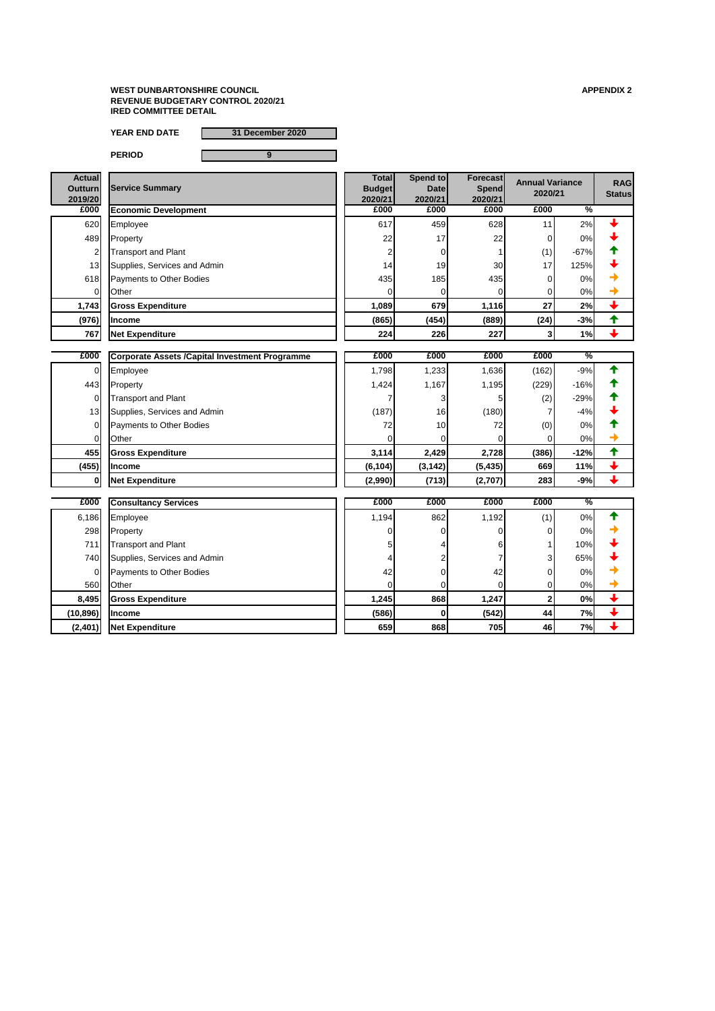**YEAR END DATE 31 December 2020**

| <b>Actual</b><br><b>Outturn</b><br>2019/20 | <b>Service Summary</b>                                 | <b>Total</b><br><b>Budget</b><br>2020/21 | Spend to<br><b>Date</b><br>2020/21 | <b>Forecast</b><br><b>Spend</b><br>2020/21 | <b>Annual Variance</b><br>2020/21 |               | <b>RAG</b><br><b>Status</b> |
|--------------------------------------------|--------------------------------------------------------|------------------------------------------|------------------------------------|--------------------------------------------|-----------------------------------|---------------|-----------------------------|
| £000                                       | <b>Economic Development</b>                            | £000                                     | £000                               | £000                                       | £000                              | $\frac{0}{2}$ |                             |
| 620                                        | Employee                                               | 617                                      | 459                                | 628                                        | 11                                | 2%            |                             |
| 489                                        | Property                                               | 22                                       | 17                                 | 22                                         | 0                                 | 0%            |                             |
| 2                                          | <b>Transport and Plant</b>                             |                                          | 0                                  |                                            | (1)                               | $-67%$        |                             |
| 13                                         | Supplies, Services and Admin                           | 14                                       | 19                                 | 30                                         | 17                                | 125%          |                             |
| 618                                        | Payments to Other Bodies                               | 435                                      | 185                                | 435                                        | 0                                 | 0%            |                             |
| 0                                          | Other                                                  | 0                                        | 0                                  | $\Omega$                                   | 0                                 | 0%            |                             |
| 1,743                                      | <b>Gross Expenditure</b>                               | 1,089                                    | 679                                | 1,116                                      | 27                                | 2%            | $\overline{\mathbf{t}}$     |
| (976)                                      | <b>Income</b>                                          | (865)                                    | (454)                              | (889)                                      | (24)                              | $-3%$         | ✦                           |
| 767                                        | <b>Net Expenditure</b>                                 | 224                                      | 226                                | 227                                        | $\mathbf{3}$                      | 1%            | $\overline{\phantom{a}}$    |
|                                            |                                                        |                                          |                                    |                                            |                                   |               |                             |
| £000                                       | <b>Corporate Assets / Capital Investment Programme</b> | £000                                     | £000                               | £000                                       | £000                              | %             |                             |
| $\overline{0}$                             | Employee                                               | 1,798                                    | 1,233                              | 1,636                                      | (162)                             | $-9%$         |                             |
| 443                                        | Property                                               | 1,424                                    | 1,167                              | 1,195                                      | (229)                             | $-16%$        |                             |
| 0                                          | <b>Transport and Plant</b>                             |                                          | 3                                  |                                            | (2)                               | $-29%$        |                             |
| 13                                         | Supplies, Services and Admin                           | (187)                                    | 16                                 | (180)                                      | 7                                 | $-4%$         |                             |
| $\overline{0}$                             | Payments to Other Bodies                               | 72                                       | 10                                 | 72                                         | (0)                               | 0%            |                             |
| 0                                          | Other                                                  |                                          |                                    | 0                                          | 0                                 | 0%            |                             |
| 455                                        | <b>Gross Expenditure</b>                               | 3,114                                    | 2,429                              | 2,728                                      | (386)                             | $-12%$        | ✦                           |
| (455)                                      | <b>Income</b>                                          | (6, 104)                                 | (3, 142)                           | (5, 435)                                   | 669                               | 11%           | $\overline{\phantom{a}}$    |
| 0                                          | <b>Net Expenditure</b>                                 | (2,990)                                  | (713)                              | (2,707)                                    | 283                               | $-9%$         | п.                          |
| £000                                       | <b>Consultancy Services</b>                            | £000                                     | £000                               | £000                                       | £000                              | $\frac{0}{6}$ |                             |
|                                            |                                                        |                                          |                                    |                                            |                                   |               |                             |
| 6,186                                      | Employee                                               | 1,194                                    | 862                                | 1,192                                      | (1)                               | 0%            |                             |
| 298                                        | Property                                               | 0                                        |                                    | 0                                          | 0                                 | 0%            |                             |
| 711                                        | <b>Transport and Plant</b>                             | 5                                        |                                    |                                            |                                   | 10%           |                             |
| 740                                        | Supplies, Services and Admin                           |                                          |                                    |                                            | $\mathbf{3}$                      | 65%           |                             |
| $\overline{0}$                             | Payments to Other Bodies                               | 42                                       |                                    | 42                                         | $\overline{0}$                    | 0%            |                             |
| 560                                        | Other                                                  | $\Omega$                                 |                                    | $\Omega$                                   | $\overline{0}$                    | 0%            |                             |
| 8,495                                      | <b>Gross Expenditure</b>                               | 1,245                                    | 868                                | 1,247                                      | $\overline{\mathbf{2}}$           | 0%            | $\color{red} \downarrow$    |
| (10, 896)                                  | Income                                                 | (586)                                    | $\mathbf{0}$                       | (542)                                      | 44                                | 7%            | $\overline{\mathbf{t}}$     |
| (2,401)                                    | <b>Net Expenditure</b>                                 | 659                                      | 868                                | 705                                        | 46                                | 7%            | $\color{red} \downarrow$    |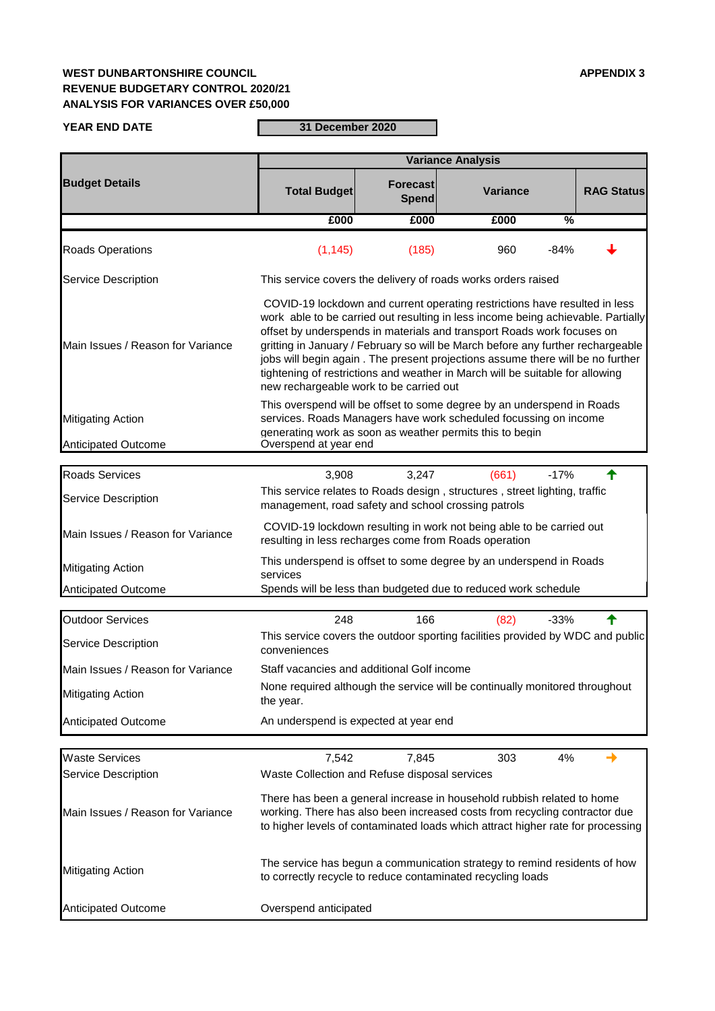# **WEST DUNBARTONSHIRE COUNCIL APPENDIX 3 REVENUE BUDGETARY CONTROL 2020/21 ANALYSIS FOR VARIANCES OVER £50,000**

**YEAR END DATE**

**31 December 2020 Communication** 

|                                   |                                                                                                                                                                                                                                                                                                                                                                                                                                                                                                                                                                                                                     |                                 | <b>Variance Analysis</b>                                                                                                                                                                                                                |                   |  |  |  |
|-----------------------------------|---------------------------------------------------------------------------------------------------------------------------------------------------------------------------------------------------------------------------------------------------------------------------------------------------------------------------------------------------------------------------------------------------------------------------------------------------------------------------------------------------------------------------------------------------------------------------------------------------------------------|---------------------------------|-----------------------------------------------------------------------------------------------------------------------------------------------------------------------------------------------------------------------------------------|-------------------|--|--|--|
| <b>Budget Details</b>             | <b>Total Budget</b>                                                                                                                                                                                                                                                                                                                                                                                                                                                                                                                                                                                                 | <b>Forecast</b><br><b>Spend</b> | <b>Variance</b>                                                                                                                                                                                                                         | <b>RAG Status</b> |  |  |  |
|                                   | £000                                                                                                                                                                                                                                                                                                                                                                                                                                                                                                                                                                                                                | £000                            | £000<br>$\frac{0}{0}$                                                                                                                                                                                                                   |                   |  |  |  |
| <b>Roads Operations</b>           | (1, 145)                                                                                                                                                                                                                                                                                                                                                                                                                                                                                                                                                                                                            | (185)                           | 960<br>$-84%$                                                                                                                                                                                                                           |                   |  |  |  |
| <b>Service Description</b>        |                                                                                                                                                                                                                                                                                                                                                                                                                                                                                                                                                                                                                     |                                 | This service covers the delivery of roads works orders raised                                                                                                                                                                           |                   |  |  |  |
| Main Issues / Reason for Variance | COVID-19 lockdown and current operating restrictions have resulted in less<br>work able to be carried out resulting in less income being achievable. Partially<br>offset by underspends in materials and transport Roads work focuses on<br>gritting in January / February so will be March before any further rechargeable<br>jobs will begin again. The present projections assume there will be no further<br>tightening of restrictions and weather in March will be suitable for allowing<br>new rechargeable work to be carried out<br>This overspend will be offset to some degree by an underspend in Roads |                                 |                                                                                                                                                                                                                                         |                   |  |  |  |
| <b>Mitigating Action</b>          |                                                                                                                                                                                                                                                                                                                                                                                                                                                                                                                                                                                                                     |                                 | services. Roads Managers have work scheduled focussing on income<br>generating work as soon as weather permits this to begin                                                                                                            |                   |  |  |  |
| <b>Anticipated Outcome</b>        | Overspend at year end                                                                                                                                                                                                                                                                                                                                                                                                                                                                                                                                                                                               |                                 |                                                                                                                                                                                                                                         |                   |  |  |  |
| <b>Roads Services</b>             | 3,908                                                                                                                                                                                                                                                                                                                                                                                                                                                                                                                                                                                                               | 3,247                           | (661)<br>$-17%$                                                                                                                                                                                                                         |                   |  |  |  |
| <b>Service Description</b>        | management, road safety and school crossing patrols                                                                                                                                                                                                                                                                                                                                                                                                                                                                                                                                                                 |                                 | This service relates to Roads design, structures, street lighting, traffic                                                                                                                                                              |                   |  |  |  |
| Main Issues / Reason for Variance | resulting in less recharges come from Roads operation                                                                                                                                                                                                                                                                                                                                                                                                                                                                                                                                                               |                                 | COVID-19 lockdown resulting in work not being able to be carried out                                                                                                                                                                    |                   |  |  |  |
| <b>Mitigating Action</b>          | services                                                                                                                                                                                                                                                                                                                                                                                                                                                                                                                                                                                                            |                                 | This underspend is offset to some degree by an underspend in Roads                                                                                                                                                                      |                   |  |  |  |
| <b>Anticipated Outcome</b>        |                                                                                                                                                                                                                                                                                                                                                                                                                                                                                                                                                                                                                     |                                 | Spends will be less than budgeted due to reduced work schedule                                                                                                                                                                          |                   |  |  |  |
| <b>Outdoor Services</b>           | 248                                                                                                                                                                                                                                                                                                                                                                                                                                                                                                                                                                                                                 | 166                             | $-33%$<br>(82)                                                                                                                                                                                                                          |                   |  |  |  |
| <b>Service Description</b>        | conveniences                                                                                                                                                                                                                                                                                                                                                                                                                                                                                                                                                                                                        |                                 | This service covers the outdoor sporting facilities provided by WDC and public                                                                                                                                                          |                   |  |  |  |
| Main Issues / Reason for Variance | Staff vacancies and additional Golf income                                                                                                                                                                                                                                                                                                                                                                                                                                                                                                                                                                          |                                 |                                                                                                                                                                                                                                         |                   |  |  |  |
| <b>Mitigating Action</b>          | the year.                                                                                                                                                                                                                                                                                                                                                                                                                                                                                                                                                                                                           |                                 | None required although the service will be continually monitored throughout                                                                                                                                                             |                   |  |  |  |
| <b>Anticipated Outcome</b>        | An underspend is expected at year end                                                                                                                                                                                                                                                                                                                                                                                                                                                                                                                                                                               |                                 |                                                                                                                                                                                                                                         |                   |  |  |  |
|                                   |                                                                                                                                                                                                                                                                                                                                                                                                                                                                                                                                                                                                                     |                                 |                                                                                                                                                                                                                                         |                   |  |  |  |
| <b>Waste Services</b>             | 7,542                                                                                                                                                                                                                                                                                                                                                                                                                                                                                                                                                                                                               | 7,845                           | 303<br>4%                                                                                                                                                                                                                               |                   |  |  |  |
| <b>Service Description</b>        | Waste Collection and Refuse disposal services                                                                                                                                                                                                                                                                                                                                                                                                                                                                                                                                                                       |                                 |                                                                                                                                                                                                                                         |                   |  |  |  |
| Main Issues / Reason for Variance |                                                                                                                                                                                                                                                                                                                                                                                                                                                                                                                                                                                                                     |                                 | There has been a general increase in household rubbish related to home<br>working. There has also been increased costs from recycling contractor due<br>to higher levels of contaminated loads which attract higher rate for processing |                   |  |  |  |
| <b>Mitigating Action</b>          |                                                                                                                                                                                                                                                                                                                                                                                                                                                                                                                                                                                                                     |                                 | The service has begun a communication strategy to remind residents of how<br>to correctly recycle to reduce contaminated recycling loads                                                                                                |                   |  |  |  |
| <b>Anticipated Outcome</b>        | Overspend anticipated                                                                                                                                                                                                                                                                                                                                                                                                                                                                                                                                                                                               |                                 |                                                                                                                                                                                                                                         |                   |  |  |  |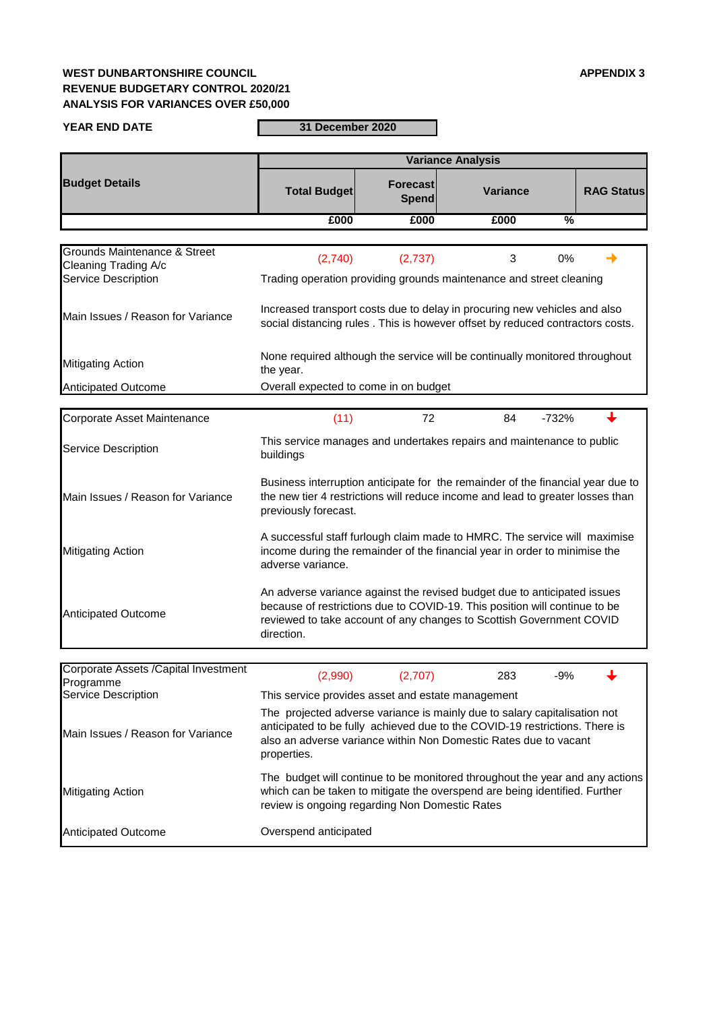# **WEST DUNBARTONSHIRE COUNCIL APPENDIX 3 REVENUE BUDGETARY CONTROL 2020/21 ANALYSIS FOR VARIANCES OVER £50,000**

| <b>YEAR END DATE</b>                                      | 31 December 2020                                                                                                                                                                                                                             |                          |                 |                   |  |  |  |  |  |
|-----------------------------------------------------------|----------------------------------------------------------------------------------------------------------------------------------------------------------------------------------------------------------------------------------------------|--------------------------|-----------------|-------------------|--|--|--|--|--|
|                                                           | <b>Variance Analysis</b>                                                                                                                                                                                                                     |                          |                 |                   |  |  |  |  |  |
| <b>Budget Details</b>                                     | <b>Total Budget</b>                                                                                                                                                                                                                          | Forecast<br><b>Spend</b> | <b>Variance</b> | <b>RAG Status</b> |  |  |  |  |  |
|                                                           | £000                                                                                                                                                                                                                                         | £000                     | £000            | %                 |  |  |  |  |  |
|                                                           |                                                                                                                                                                                                                                              |                          |                 |                   |  |  |  |  |  |
| Grounds Maintenance & Street<br>Cleaning Trading A/c      | (2,740)                                                                                                                                                                                                                                      | (2,737)                  | 3               | 0%                |  |  |  |  |  |
| <b>Service Description</b>                                | Trading operation providing grounds maintenance and street cleaning                                                                                                                                                                          |                          |                 |                   |  |  |  |  |  |
| Main Issues / Reason for Variance                         | Increased transport costs due to delay in procuring new vehicles and also<br>social distancing rules. This is however offset by reduced contractors costs.                                                                                   |                          |                 |                   |  |  |  |  |  |
| <b>Mitigating Action</b>                                  | None required although the service will be continually monitored throughout<br>the year.                                                                                                                                                     |                          |                 |                   |  |  |  |  |  |
| <b>Anticipated Outcome</b>                                | Overall expected to come in on budget                                                                                                                                                                                                        |                          |                 |                   |  |  |  |  |  |
| Corporate Asset Maintenance                               | (11)                                                                                                                                                                                                                                         | 72                       | $-732%$<br>84   |                   |  |  |  |  |  |
| <b>Service Description</b>                                | This service manages and undertakes repairs and maintenance to public<br>buildings                                                                                                                                                           |                          |                 |                   |  |  |  |  |  |
| Main Issues / Reason for Variance                         | Business interruption anticipate for the remainder of the financial year due to<br>the new tier 4 restrictions will reduce income and lead to greater losses than<br>previously forecast.                                                    |                          |                 |                   |  |  |  |  |  |
| <b>Mitigating Action</b>                                  | A successful staff furlough claim made to HMRC. The service will maximise<br>income during the remainder of the financial year in order to minimise the<br>adverse variance.                                                                 |                          |                 |                   |  |  |  |  |  |
| <b>Anticipated Outcome</b>                                | An adverse variance against the revised budget due to anticipated issues<br>because of restrictions due to COVID-19. This position will continue to be<br>reviewed to take account of any changes to Scottish Government COVID<br>direction. |                          |                 |                   |  |  |  |  |  |
|                                                           |                                                                                                                                                                                                                                              |                          |                 |                   |  |  |  |  |  |
| <b>Corporate Assets / Capital Investment</b><br>Programme | (2,990)                                                                                                                                                                                                                                      | (2,707)                  | 283             | $-9%$             |  |  |  |  |  |
| <b>Service Description</b>                                | This service provides asset and estate management                                                                                                                                                                                            |                          |                 |                   |  |  |  |  |  |
| Main Issues / Reason for Variance                         | The projected adverse variance is mainly due to salary capitalisation not<br>anticipated to be fully achieved due to the COVID-19 restrictions. There is<br>also an adverse variance within Non Domestic Rates due to vacant<br>properties.  |                          |                 |                   |  |  |  |  |  |
| <b>Mitigating Action</b>                                  | The budget will continue to be monitored throughout the year and any actions<br>which can be taken to mitigate the overspend are being identified. Further<br>review is ongoing regarding Non Domestic Rates                                 |                          |                 |                   |  |  |  |  |  |
| <b>Anticipated Outcome</b>                                | Overspend anticipated                                                                                                                                                                                                                        |                          |                 |                   |  |  |  |  |  |